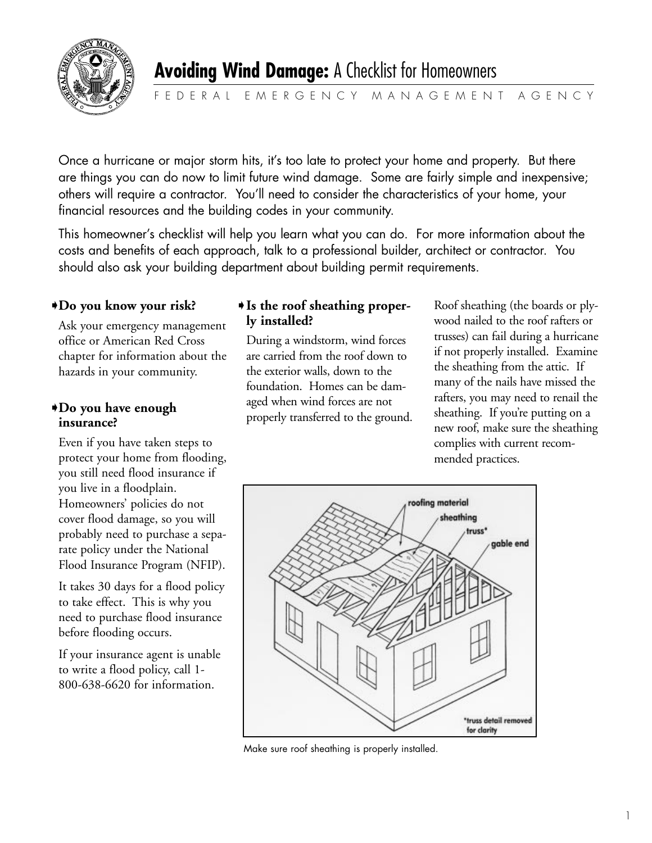

Once a hurricane or major storm hits, it's too late to protect your home and property. But there are things you can do now to limit future wind damage. Some are fairly simple and inexpensive; others will require a contractor. You'll need to consider the characteristics of your home, your financial resources and the building codes in your community.

This homeowner's checklist will help you learn what you can do. For more information about the costs and benefits of each approach, talk to a professional builder, architect or contractor. You should also ask your building department about building permit requirements.

# **Do you know your risk?** ➧ ➧

Ask your emergency management office or American Red Cross chapter for information about the hazards in your community.

## **Do you have enough**  ➧ **insurance?**

Even if you have taken steps to protect your home from flooding, you still need flood insurance if you live in a floodplain. Homeowners' policies do not cover flood damage, so you will probably need to purchase a separate policy under the National Flood Insurance Program (NFIP).

It takes 30 days for a flood policy to take effect. This is why you need to purchase flood insurance before flooding occurs.

If your insurance agent is unable to write a flood policy, call 1- 800-638-6620 for information.

# **Is the roof sheathing properly installed?**

During a windstorm, wind forces are carried from the roof down to the exterior walls, down to the foundation. Homes can be damaged when wind forces are not properly transferred to the ground.

Roof sheathing (the boards or plywood nailed to the roof rafters or trusses) can fail during a hurricane if not properly installed. Examine the sheathing from the attic. If many of the nails have missed the rafters, you may need to renail the sheathing. If you're putting on a new roof, make sure the sheathing complies with current recommended practices.



Make sure roof sheathing is properly installed.